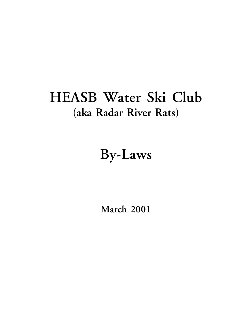# **HEASB Water Ski Club (aka Radar River Rats)**

# **By-Laws**

**March 2001**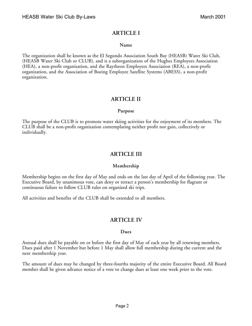# **ARTICLE I**

#### **Name**

The organization shall be known as the El Segundo Association South Bay (HEASB) Water Ski Club, (HEASB Water Ski Club or CLUB), and is a suborganization of the Hughes Employees Association (HEA), a non-profit organization, and the Raytheon Employees Association (REA), a non-profit organization, and the Association of Boeing Employee Satellite Systems (ABESS), a non-profit organization.

# **ARTICLE II**

#### **Purpose**

The purpose of the CLUB is to promote water skiing activities for the enjoyment of its members. The CLUB shall be a non-profit organization contemplating neither profit nor gain, collectively or individually.

# **ARTICLE III**

## **Membership**

Membership begins on the first day of May and ends on the last day of April of the following year. The Executive Board, by unanimous vote, can deny or retract a person's membership for flagrant or continuous failure to follow CLUB rules on organized ski trips.

All activities and benefits of the CLUB shall be extended to all members.

# **ARTICLE IV**

#### **Dues**

Annual dues shall be payable on or before the first day of May of each year by all renewing members. Dues paid after 1 November but before 1 May shall allow full membership during the current and the next membership year.

The amount of dues may be changed by three-fourths majority of the entire Executive Board. All Board member shall be given advance notice of a vote to change dues at least one week prior to the vote.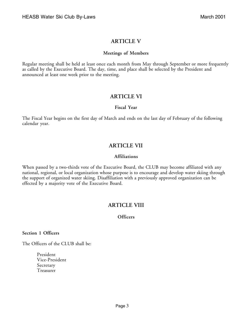# **ARTICLE V**

#### **Meetings of Members**

Regular meeting shall be held at least once each month from May through September or more frequently as called by the Executive Board. The day, time, and place shall be selected by the President and announced at least one week prior to the meeting.

# **ARTICLE VI**

#### **Fiscal Year**

The Fiscal Year begins on the first day of March and ends on the last day of February of the following calendar year.

# **ARTICLE VII**

#### **Affiliations**

When passed by a two-thirds vote of the Executive Board, the CLUB may become affiliated with any national, regional, or local organization whose purpose is to encourage and develop water skiing through the support of organized water skiing. Disaffiliation with a previously approved organization can be effected by a majority vote of the Executive Board.

# **ARTICLE VIII**

## **Officers**

**Section 1 Officers**

The Officers of the CLUB shall be:

President Vice-President Secretary Treasurer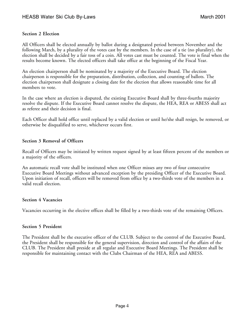#### **Section 2 Election**

All Officers shall be elected annually by ballot during a designated period between November and the following March, by a plurality of the votes cast by the members. In the case of a tie (no plurality), the election shall be decided by a fair toss of a coin. All votes cast must be counted. The vote is final when the results become known. The elected officers shall take office at the beginning of the Fiscal Year.

An election chairperson shall be nominated by a majority of the Executive Board. The election chairperson is responsible for the preparation, distribution, collection, and counting of ballots. The election chairperson shall designate a closing date for the election that allows reasonable time for all members to vote.

In the case where an election is disputed, the existing Executive Board shall by three-fourths majority resolve the dispute. If the Executive Board cannot resolve the dispute, the HEA, REA or ABESS shall act as referee and their decision is final.

Each Officer shall hold office until replaced by a valid election or until he/she shall resign, be removed, or otherwise be disqualified to serve, whichever occurs first.

#### **Section 3 Removal of Officers**

Recall of Officers may be initiated by written request signed by at least fifteen percent of the members or a majority of the officers.

An automatic recall vote shall be instituted when one Officer misses any two of four consecutive Executive Board Meetings without advanced exception by the presiding Officer of the Executive Board. Upon initiation of recall, officers will be removed from office by a two-thirds vote of the members in a valid recall election.

#### **Section 4 Vacancies**

Vacancies occurring in the elective offices shall be filled by a two-thirds vote of the remaining Officers.

## **Section 5 President**

The President shall be the executive officer of the CLUB. Subject to the control of the Executive Board, the President shall be responsible for the general supervision, direction and control of the affairs of the CLUB. The President shall preside at all regular and Executive Board Meetings. The President shall be responsible for maintaining contact with the Clubs Chairman of the HEA, REA and ABESS.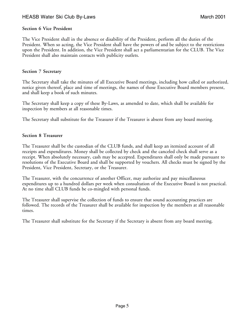## HEASB Water Ski Club By-Laws March 2001

#### **Section 6 Vice President**

The Vice President shall in the absence or disability of the President, perform all the duties of the President. When so acting, the Vice President shall have the powers of and be subject to the restrictions upon the President. In addition, the Vice President shall act a parliamentarian for the CLUB. The Vice President shall also maintain contacts with publicity outlets.

#### **Section 7 Secretary**

The Secretary shall take the minutes of all Executive Board meetings, including how called or authorized, notice given thereof, place and time of meetings, the names of those Executive Board members present, and shall keep a book of such minutes.

The Secretary shall keep a copy of these By-Laws, as amended to date, which shall be available for inspection by members at all reasonable times.

The Secretary shall substitute for the Treasurer if the Treasurer is absent from any board meeting.

#### **Section 8 Treasurer**

The Treasurer shall be the custodian of the CLUB funds, and shall keep an itemized account of all receipts and expenditures. Money shall be collected by check and the canceled check shall serve as a receipt. When absolutely necessary, cash may be accepted. Expenditures shall only be made pursuant to resolutions of the Executive Board and shall be supported by vouchers. All checks must be signed by the President, Vice President, Secretary, or the Treasurer.

The Treasurer, with the concurrence of another Officer, may authorize and pay miscellaneous expenditures up to a hundred dollars per week when consultation of the Executive Board is not practical. At no time shall CLUB funds be co-mingled with personal funds.

The Treasurer shall supervise the collection of funds to ensure that sound accounting practices are followed. The records of the Treasurer shall be available for inspection by the members at all reasonable times.

The Treasurer shall substitute for the Secretary if the Secretary is absent from any board meeting.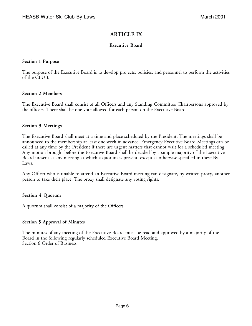# **ARTICLE IX**

## **Executive Board**

#### **Section 1 Purpose**

The purpose of the Executive Board is to develop projects, policies, and personnel to perform the activities of the CLUB.

## **Section 2 Members**

The Executive Board shall consist of all Officers and any Standing Committee Chairpersons approved by the officers. There shall be one vote allowed for each person on the Executive Board.

#### **Section 3 Meetings**

The Executive Board shall meet at a time and place scheduled by the President. The meetings shall be announced to the membership at least one week in advance. Emergency Executive Board Meetings can be called at any time by the President if there are urgent matters that cannot wait for a scheduled meeting. Any motion brought before the Executive Board shall be decided by a simple majority of the Executive Board present at any meeting at which a quorum is present, except as otherwise specified in these By-Laws.

Any Officer who is unable to attend an Executive Board meeting can designate, by written proxy, another person to take their place. The proxy shall designate any voting rights.

## **Section 4 Quorum**

A quorum shall consist of a majority of the Officers.

## **Section 5 Approval of Minutes**

The minutes of any meeting of the Executive Board must be read and approved by a majority of the Board in the following regularly scheduled Executive Board Meeting. Section 6 Order of Business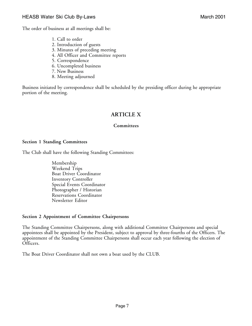The order of business at all meetings shall be:

- 1. Call to order
- 2. Introduction of guests
- 3. Minutes of preceding meeting
- 4. All Officer and Committee reports
- 5. Correspondence
- 6. Uncompleted business
- 7. New Business
- 8. Meeting adjourned

Business initiated by correspondence shall be scheduled by the presiding officer during he appropriate portion of the meeting.

# **ARTICLE X**

#### **Committees**

#### **Section 1 Standing Committees**

The Club shall have the following Standing Committees:

Membership Weekend Trips Boat Driver Coordinator Inventory Controller Special Events Coordinator Photographer / Historian Reservations Coordinator Newsletter Editor

#### **Section 2 Appointment of Committee Chairpersons**

The Standing Committee Chairpersons, along with additional Committee Chairpersons and special appointees shall be appointed by the President, subject to approval by three-fourths of the Officers. The appointment of the Standing Committee Chairpersons shall occur each year following the election of Officers.

The Boat Driver Coordinator shall not own a boat used by the CLUB.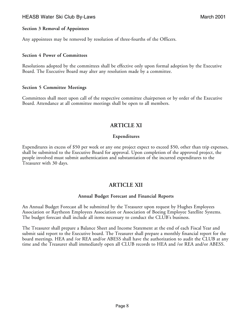## HEASB Water Ski Club By-Laws March 2001

#### **Section 3 Removal of Appointees**

Any appointees may be removed by resolution of three-fourths of the Officers.

#### **Section 4 Power of Committees**

Resolutions adopted by the committees shall be effective only upon formal adoption by the Executive Board. The Executive Board may alter any resolution made by a committee.

#### **Section 5 Committee Meetings**

Committees shall meet upon call of the respective committee chairperson or by order of the Executive Board. Attendance at all committee meetings shall be open to all members.

# **ARTICLE XI**

#### **Expenditures**

Expenditures in excess of \$50 per week or any one project expect to exceed \$50, other than trip expenses, shall be submitted to the Executive Board for approval. Upon completion of the approved project, the people involved must submit authentication and substantiation of the incurred expenditures to the Treasurer with 30 days.

# **ARTICLE XII**

#### **Annual Budget Forecast and Financial Reports**

An Annual Budget Forecast all be submitted by the Treasurer upon request by Hughes Employees Association or Raytheon Employees Association or Association of Boeing Employee Satellite Systems. The budget forecast shall include all items necessary to conduct the CLUB's business.

The Treasurer shall prepare a Balance Sheet and Income Statement at the end of each Fiscal Year and submit said report to the Executive board. The Treasurer shall prepare a monthly financial report for the board meetings. HEA and /or REA and/or ABESS shall have the authorization to audit the CLUB at any time and the Treasurer shall immediately open all CLUB records to HEA and /or REA and/or ABESS.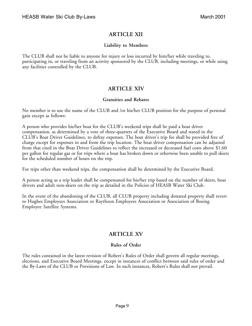# **ARTICLE XII**

## **Liability to Members**

The CLUB shall not be liable to anyone for injury or loss incurred by him/her while traveling to, participating in, or traveling from an activity sponsored by the CLUB, including meetings, or while using any facilities controlled by the CLUB.

# **ARTICLE XIV**

## **Gratuities and Rebates**

No member is to use the name of the CLUB and /or his/her CLUB position for the purpose of personal gain except as follows:

A person who provides his/her boat for the CLUB's weekend trips shall be paid a boat driver compensation, as determined by a vote of three-quarters of the Executive Board and stated in the CLUB's Boat Driver Guidelines, to defray expenses. The boat driver's trip fee shall be provided free of charge except for expenses to and from the trip location. The boat driver compensation can be adjusted from that cited in the Boat Driver Guidelines to reflect the increased or decreased fuel costs above \$1.60 per gallon for regular gas or for trips where a boat has broken down or otherwise been unable to pull skiers for the scheduled number of hours on the trip.

For trips other than weekend trips, the compensation shall be determined by the Executive Board.

A person acting as a trip leader shall be compensated for his/her trip based on the number of skiers, boat drivers and adult non-skiers on the trip as detailed in the Policies of HEASB Water Ski Club.

In the event of the abandoning of the CLUB, all CLUB property including donated property shall revert to Hughes Employees Association or Raytheon Employees Association or Association of Boeing Employee Satellite Systems.

# **ARTICLE XV**

## **Rules of Order**

The rules contained in the latest revision of Robert's Rules of Order shall govern all regular meetings, elections, and Executive Board Meetings, except in instances of conflict between said rules of order and the By-Laws of the CLUB or Provisions of Law. In such instances, Robert's Rules shall not prevail.